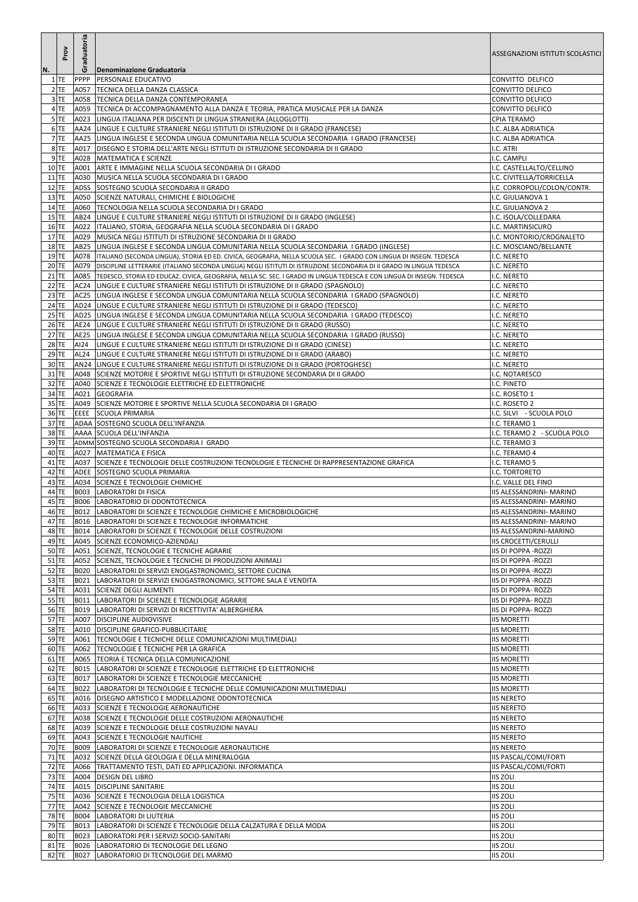|                    | Prov             | Graduatoria      |                                                                                                                                                                         | ASSEGNAZIONI ISTITUTI SCOLASTICI                           |
|--------------------|------------------|------------------|-------------------------------------------------------------------------------------------------------------------------------------------------------------------------|------------------------------------------------------------|
| N.                 | $1$ TE           | <b>PPPP</b>      | Denominazione Graduatoria<br><b>PERSONALE EDUCATIVO</b>                                                                                                                 | CONVITTO DELFICO                                           |
|                    | $2$ TE           | A057             | <b>TECNICA DELLA DANZA CLASSICA</b>                                                                                                                                     | CONVITTO DELFICO                                           |
|                    | $3$ TE           | A058             | TECNICA DELLA DANZA CONTEMPORANEA                                                                                                                                       | CONVITTO DELFICO                                           |
|                    | 4 TE             | A059             | TECNICA DI ACCOMPAGNAMENTO ALLA DANZA E TEORIA, PRATICA MUSICALE PER LA DANZA                                                                                           | CONVITTO DELFICO                                           |
|                    | 5 TE             | A023             | LINGUA ITALIANA PER DISCENTI DI LINGUA STRANIERA (ALLOGLOTTI)                                                                                                           | <b>CPIA TERAMO</b>                                         |
|                    | 6 TE             |                  | AA24 LINGUE E CULTURE STRANIERE NEGLI ISTITUTI DI ISTRUZIONE DI II GRADO (FRANCESE)                                                                                     | I.C. ALBA ADRIATICA                                        |
|                    | 7 TE             |                  | AA25  LINGUA INGLESE E SECONDA LINGUA COMUNITARIA NELLA SCUOLA SECONDARIA I GRADO (FRANCESE)                                                                            | I.C. ALBA ADRIATICA                                        |
|                    | 8TE              |                  | A017   DISEGNO E STORIA DELL'ARTE NEGLI ISTITUTI DI ISTRUZIONE SECONDARIA DI II GRADO                                                                                   | I.C. ATRI                                                  |
| $10$ TE            | 9TE              | A028<br>A001     | MATEMATICA E SCIENZE<br>ARTE E IMMAGINE NELLA SCUOLA SECONDARIA DI I GRADO                                                                                              | I.C. CAMPLI<br>I.C. CASTELLALTO/CELLINO                    |
|                    | $11$ TE          | A030             | MUSICA NELLA SCUOLA SECONDARIA DI I GRADO                                                                                                                               | I.C. CIVITELLA/TORRICELLA                                  |
| $12$ TE            |                  |                  | ADSS SOSTEGNO SCUOLA SECONDARIA II GRADO                                                                                                                                | I.C. CORROPOLI/COLON/CONTR.                                |
| $13$ TE            |                  |                  | A050 SCIENZE NATURALI, CHIMICHE E BIOLOGICHE                                                                                                                            | I.C. GIULIANOVA 1                                          |
| $14$ TE            |                  |                  | A060 TECNOLOGIA NELLA SCUOLA SECONDARIA DI I GRADO                                                                                                                      | I.C. GIULIANOVA 2                                          |
| $15$ TE            |                  |                  | AB24 LINGUE E CULTURE STRANIERE NEGLI ISTITUTI DI ISTRUZIONE DI II GRADO (INGLESE)                                                                                      | I.C. ISOLA/COLLEDARA                                       |
| $16$ TE            |                  | A022             | ITALIANO, STORIA, GEOGRAFIA NELLA SCUOLA SECONDARIA DI I GRADO                                                                                                          | I.C. MARTINSICURO                                          |
| $17$ TE<br>$18$ TE |                  | A029<br>AB25     | MUSICA NEGLI ISTITUTI DI ISTRUZIONE SECONDARIA DI II GRADO<br>LINGUA INGLESE E SECONDA LINGUA COMUNITARIA NELLA SCUOLA SECONDARIA I GRADO (INGLESE)                     | I.C. MONTORIO/CROGNALETO<br>I.C. MOSCIANO/BELLANTE         |
| $19$ TE            |                  |                  | A078  ITALIANO (SECONDA LINGUA), STORIA ED ED. CIVICA, GEOGRAFIA, NELLA SCUOLA SEC. I GRADO CON LINGUA DI INSEGN. TEDESCA                                               | I.C. NERETO                                                |
|                    | 20 TE            |                  | A079   DISCIPLINE LETTERARIE (ITALIANO SECONDA LINGUA) NEGLI ISTITUTI DI ISTRUZIONE SECONDARIA DI II GRADO IN LINGUA TEDESCA                                            | I.C. NERETO                                                |
| $21$ TE            |                  | A085             | TEDESCO, STORIA ED EDUCAZ. CIVICA, GEOGRAFIA, NELLA SC. SEC. I GRADO IN LINGUA TEDESCA E CON LINGUA DI INSEGN. TEDESCA                                                  | I.C. NERETO                                                |
|                    | $22$ TE          | AC <sub>24</sub> | LINGUE E CULTURE STRANIERE NEGLI ISTITUTI DI ISTRUZIONE DI II GRADO (SPAGNOLO)                                                                                          | I.C. NERETO                                                |
|                    | $23$ TE          | AC <sub>25</sub> | LINGUA INGLESE E SECONDA LINGUA COMUNITARIA NELLA SCUOLA SECONDARIA I GRADO (SPAGNOLO)                                                                                  | I.C. NERETO                                                |
|                    | $24$ TE          |                  | AD24  LINGUE E CULTURE STRANIERE NEGLI ISTITUTI DI ISTRUZIONE DI II GRADO (TEDESCO)                                                                                     | I.C. NERETO                                                |
| $25$ TE            |                  |                  | AD25 LINGUA INGLESE E SECONDA LINGUA COMUNITARIA NELLA SCUOLA SECONDARIA I GRADO (TEDESCO)                                                                              | I.C. NERETO                                                |
| $27$ TE            | $26$ TE          | AE25             | AE24 LINGUE E CULTURE STRANIERE NEGLI ISTITUTI DI ISTRUZIONE DI II GRADO (RUSSO)<br>LINGUA INGLESE E SECONDA LINGUA COMUNITARIA NELLA SCUOLA SECONDARIA I GRADO (RUSSO) | I.C. NERETO<br>I.C. NERETO                                 |
| $28$ TE            |                  | AI24             | LINGUE E CULTURE STRANIERE NEGLI ISTITUTI DI ISTRUZIONE DI II GRADO (CINESE)                                                                                            | I.C. NERETO                                                |
|                    | $29$ TE          | AL <sub>24</sub> | LINGUE E CULTURE STRANIERE NEGLI ISTITUTI DI ISTRUZIONE DI II GRADO (ARABO)                                                                                             | I.C. NERETO                                                |
|                    | 30 TE            |                  | AN24 LINGUE E CULTURE STRANIERE NEGLI ISTITUTI DI ISTRUZIONE DI II GRADO (PORTOGHESE)                                                                                   | I.C. NERETO                                                |
|                    | $31$ TE          |                  | A048 SCIENZE MOTORIE E SPORTIVE NEGLI ISTITUTI DI ISTRUZIONE SECONDARIA DI II GRADO                                                                                     | I.C. NOTARESCO                                             |
|                    | 32 TE            |                  | A040 SCIENZE E TECNOLOGIE ELETTRICHE ED ELETTRONICHE                                                                                                                    | I.C. PINETO                                                |
|                    | 34 TE            |                  | A021 GEOGRAFIA                                                                                                                                                          | I.C. ROSETO 1                                              |
| 36 TE              | 35 TE            |                  | A049 SCIENZE MOTORIE E SPORTIVE NELLA SCUOLA SECONDARIA DI I GRADO<br>EEEE SCUOLA PRIMARIA                                                                              | I.C. ROSETO 2                                              |
|                    | $37$ TE          |                  | ADAA SOSTEGNO SCUOLA DELL'INFANZIA                                                                                                                                      | I.C. SILVI - SCUOLA POLO<br>I.C. TERAMO 1                  |
| 38 TE              |                  |                  | AAAA SCUOLA DELL'INFANZIA                                                                                                                                               | I.C. TERAMO 2 - SCUOLA POLO                                |
|                    | $39$ TE          |                  | ADMM SOSTEGNO SCUOLA SECONDARIA I GRADO                                                                                                                                 | I.C. TERAMO 3                                              |
|                    | 40 TE            |                  | A027 MATEMATICA E FISICA                                                                                                                                                | I.C. TERAMO 4                                              |
| $41$ TE            |                  |                  | A037 SCIENZE E TECNOLOGIE DELLE COSTRUZIONI TECNOLOGIE E TECNICHE DI RAPPRESENTAZIONE GRAFICA                                                                           | I.C. TERAMO 5                                              |
|                    | 42 TE            |                  | ADEE SOSTEGNO SCUOLA PRIMARIA                                                                                                                                           | I.C. TORTORETO                                             |
|                    | 43 TE<br>44 TE   |                  | A034 SCIENZE E TECNOLOGIE CHIMICHE<br><b>B003 LABORATORI DI FISICA</b>                                                                                                  | I.C. VALLE DEL FINO<br>IIS ALESSANDRINI- MARINO            |
|                    | 45 TE            |                  | <b>B006 LABORATORIO DI ODONTOTECNICA</b>                                                                                                                                | <b>IIS ALESSANDRINI- MARINO</b>                            |
|                    | 46 TE            |                  | B012 LABORATORI DI SCIENZE E TECNOLOGIE CHIMICHE E MICROBIOLOGICHE                                                                                                      | <b>IIS ALESSANDRINI- MARINO</b>                            |
| 47 TE              |                  |                  | B016  LABORATORI DI SCIENZE E TECNOLOGIE INFORMATICHE                                                                                                                   | IIS ALESSANDRINI- MARINO                                   |
|                    | 48 TE            |                  | B014 LABORATORI DI SCIENZE E TECNOLOGIE DELLE COSTRUZIONI                                                                                                               | IIS ALESSANDRINI-MARINO                                    |
|                    | 49 TE            |                  | A045 SCIENZE ECONOMICO-AZIENDALI                                                                                                                                        | <b>IIS CROCETTI/CERULLI</b>                                |
|                    | $50$ TE          |                  | A051 SCIENZE, TECNOLOGIE E TECNICHE AGRARIE                                                                                                                             | <b>IIS DI POPPA - ROZZI</b>                                |
|                    | $51$ TE<br>52 TE |                  | A052 SCIENZE, TECNOLOGIE E TECNICHE DI PRODUZIONI ANIMALI<br>B020 LABORATORI DI SERVIZI ENOGASTRONOMICI, SETTORE CUCINA                                                 | <b>IIS DI POPPA - ROZZI</b><br><b>IIS DI POPPA - ROZZI</b> |
|                    | $53$ TE          |                  | B021 LABORATORI DI SERVIZI ENOGASTRONOMICI, SETTORE SALA E VENDITA                                                                                                      | <b>IIS DI POPPA - ROZZI</b>                                |
|                    | 54 TE            |                  | A031 SCIENZE DEGLI ALIMENTI                                                                                                                                             | <b>IIS DI POPPA- ROZZI</b>                                 |
|                    | $55$ TE          | B011             | LABORATORI DI SCIENZE E TECNOLOGIE AGRARIE                                                                                                                              | <b>IIS DI POPPA- ROZZI</b>                                 |
|                    | 56 TE            | <b>B019</b>      | LABORATORI DI SERVIZI DI RICETTIVITA' ALBERGHIERA                                                                                                                       | <b>IIS DI POPPA- ROZZI</b>                                 |
|                    | $57$ TE          | A007             | <b>DISCIPLINE AUDIOVISIVE</b>                                                                                                                                           | <b>IIS MORETTI</b>                                         |
|                    | 58 TE<br>59 TE   |                  | A010 DISCIPLINE GRAFICO-PUBBLICITARIE<br><b>TECNOLOGIE E TECNICHE DELLE COMUNICAZIONI MULTIMEDIALI</b>                                                                  | <b>IIS MORETTI</b>                                         |
| 60 TE              |                  | A061<br>A062     | TECNOLOGIE E TECNICHE PER LA GRAFICA                                                                                                                                    | <b>IIS MORETTI</b><br><b>IIS MORETTI</b>                   |
| $61$ TE            |                  | A065             | TEORIA E TECNICA DELLA COMUNICAZIONE                                                                                                                                    | <b>IIS MORETTI</b>                                         |
|                    | $62$ TE          | <b>B015</b>      | LABORATORI DI SCIENZE E TECNOLOGIE ELETTRICHE ED ELETTRONICHE                                                                                                           | <b>IIS MORETTI</b>                                         |
|                    | $63$ TE          | <b>B017</b>      | LABORATORI DI SCIENZE E TECNOLOGIE MECCANICHE                                                                                                                           | <b>IIS MORETTI</b>                                         |
|                    | 64 TE            |                  | B022 LLABORATORI DI TECNOLOGIE E TECNICHE DELLE COMUNICAZIONI MULTIMEDIALI                                                                                              | <b>IIS MORETTI</b>                                         |
|                    | 65 TE            |                  | A016   DISEGNO ARTISTICO E MODELLAZIONE ODONTOTECNICA                                                                                                                   | <b>IIS NERETO</b>                                          |
| $67$ TE            | 66 TE            |                  | A033 SCIENZE E TECNOLOGIE AERONAUTICHE                                                                                                                                  | <b>IIS NERETO</b><br><b>IIS NERETO</b>                     |
|                    | 68 TE            |                  | A038 SCIENZE E TECNOLOGIE DELLE COSTRUZIONI AERONAUTICHE<br>A039 SCIENZE E TECNOLOGIE DELLE COSTRUZIONI NAVALI                                                          | <b>IIS NERETO</b>                                          |
|                    | 69 TE            | A043             | SCIENZE E TECNOLOGIE NAUTICHE                                                                                                                                           | <b>IIS NERETO</b>                                          |
| 70 TE              |                  | <b>B009</b>      | LABORATORI DI SCIENZE E TECNOLOGIE AERONAUTICHE                                                                                                                         | <b>IIS NERETO</b>                                          |
| $71$ TE            |                  |                  | A032 SCIENZE DELLA GEOLOGIA E DELLA MINERALOGIA                                                                                                                         | IIS PASCAL/COMI/FORTI                                      |
| 72 TE              |                  | A066             | TRATTAMENTO TESTI, DATI ED APPLICAZIONI. INFORMATICA                                                                                                                    | IIS PASCAL/COMI/FORTI                                      |
| 73 TE              |                  | A004             | <b>DESIGN DEL LIBRO</b>                                                                                                                                                 | <b>IIS ZOLI</b>                                            |
|                    | 74 TE            | A015             | <b>DISCIPLINE SANITARIE</b>                                                                                                                                             | <b>IIS ZOLI</b>                                            |
| 75 TE<br>$77$ TE   |                  |                  | A036 SCIENZE E TECNOLOGIA DELLA LOGISTICA                                                                                                                               | <b>IIS ZOLI</b><br><b>IIS ZOLI</b>                         |
|                    | 78 TE            | A042             | SCIENZE E TECNOLOGIE MECCANICHE<br><b>B004 LABORATORI DI LIUTERIA</b>                                                                                                   | <b>IIS ZOLI</b>                                            |
| 79 TE              |                  |                  | B013 LABORATORI DI SCIENZE E TECNOLOGIE DELLA CALZATURA E DELLA MODA                                                                                                    | <b>IIS ZOLI</b>                                            |
| 80 TE              |                  | B023             | LABORATORI PER I SERVIZI SOCIO-SANITARI                                                                                                                                 | <b>IIS ZOLI</b>                                            |
|                    | 81 TE            | <b>B026</b>      | LABORATORIO DI TECNOLOGIE DEL LEGNO                                                                                                                                     | <b>IIS ZOLI</b>                                            |
| $82$ TE            |                  | <b>B027</b>      | LABORATORIO DI TECNOLOGIE DEL MARMO                                                                                                                                     | <b>IIS ZOLI</b>                                            |